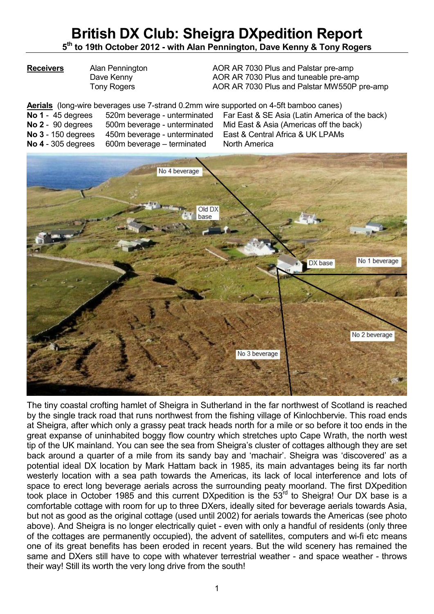## **British DX Club: Sheigra DXpedition Report 5 th to 19th October 2012 - with Alan Pennington, Dave Kenny & Tony Rogers**

**Receivers** Alan Pennington AOR AR 7030 Plus and Palstar pre-amp Dave Kenny **AOR AR 7030 Plus and tuneable pre-amp** Tony Rogers **AOR AR 7030 Plus and Palstar MW550P pre-amp** 

Aerials (long-wire beverages use 7-strand 0.2mm wire supported on 4-5ft bamboo canes)<br>No 1 - 45 degrees 520m beverage - unterminated Far East & SE Asia (Latin America **520m beverage - unterminated Far East & SE Asia (Latin America of the back) No 2** - 90 degrees 500m beverage - unterminated Mid East & Asia (Americas off the back) **No 3** - 150 degrees 450m beverage - unterminated East & Central Africa & UK LPAMs **No 4** - 305 degrees 600m beverage – terminated North America



The tiny coastal crofting hamlet of Sheigra in Sutherland in the far northwest of Scotland is reached by the single track road that runs northwest from the fishing village of Kinlochbervie. This road ends at Sheigra, after which only a grassy peat track heads north for a mile or so before it too ends in the great expanse of uninhabited boggy flow country which stretches upto Cape Wrath, the north west tip of the UK mainland. You can see the sea from Sheigra's cluster of cottages although they are set back around a quarter of a mile from its sandy bay and 'machair'. Sheigra was 'discovered' as a potential ideal DX location by Mark Hattam back in 1985, its main advantages being its far north westerly location with a sea path towards the Americas, its lack of local interference and lots of space to erect long beverage aerials across the surrounding peaty moorland. The first DXpedition took place in October 1985 and this current DXpedition is the 53rd to Sheigra! Our DX base is a comfortable cottage with room for up to three DXers, ideally sited for beverage aerials towards Asia, but not as good as the original cottage (used until 2002) for aerials towards the Americas (see photo above). And Sheigra is no longer electrically quiet - even with only a handful of residents (only three of the cottages are permanently occupied), the advent of satellites, computers and wi-fi etc means one of its great benefits has been eroded in recent years. But the wild scenery has remained the same and DXers still have to cope with whatever terrestrial weather - and space weather - throws their way! Still its worth the very long drive from the south!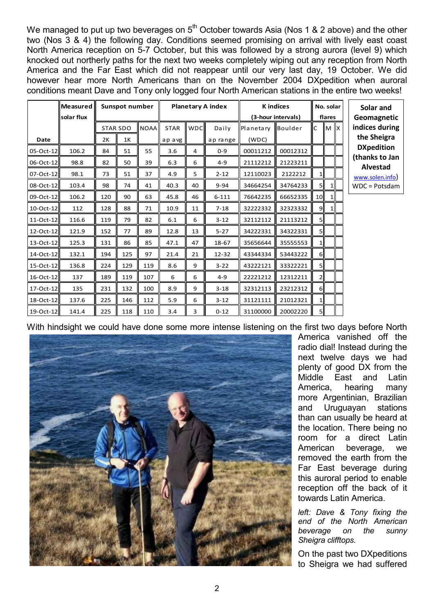We managed to put up two beverages on  $5<sup>th</sup>$  October towards Asia (Nos 1 & 2 above) and the other two (Nos 3 & 4) the following day. Conditions seemed promising on arrival with lively east coast North America reception on 5-7 October, but this was followed by a strong aurora (level 9) which knocked out northerly paths for the next two weeks completely wiping out any reception from North America and the Far East which did not reappear until our very last day, 19 October. We did however hear more North Americans than on the November 2004 DXpedition when auroral conditions meant Dave and Tony only logged four North American stations in the entire two weeks!

|                 | Measured<br>solar flux |     | Sunspot number  |             |             | <b>Planetary A index</b> |           |           | <b>K</b> indices<br>(3-hour intervals) |                 |                           | No. solar<br>Solar and<br>flares<br>Geomagnetic |                                   |  |
|-----------------|------------------------|-----|-----------------|-------------|-------------|--------------------------|-----------|-----------|----------------------------------------|-----------------|---------------------------|-------------------------------------------------|-----------------------------------|--|
|                 |                        |     | <b>STAR SDO</b> | <b>NOAA</b> | <b>STAR</b> | wpcl                     | Daily     | Planetary | Boulder                                | C               | $\mathbb{M}$ $\mathbb{X}$ |                                                 | indices during                    |  |
| Date            |                        | 2K  | 1K              |             | apavg       |                          | ap range  | (WDC)     |                                        |                 |                           |                                                 | the Sheigra                       |  |
| $05-Oct-12$     | 106.2                  | 84  | 51              | 55          | 3.6         | 4                        | $0 - 9$   | 00011212  | 00012312                               |                 |                           |                                                 | <b>DXpedition</b>                 |  |
| 06-Oct-12       | 98.8                   | 82  | 50              | 39          | 6.3         | 6                        | $4 - 9$   | 21112212  | 21223211                               |                 |                           |                                                 | (thanks to Jan<br><b>Alvestad</b> |  |
| $07-Cct-12$     | 98.1                   | 73  | 51              | 37          | 4.9         | 5                        | $2 - 12$  | 12110023  | 2122212                                | 1 <sup>1</sup>  |                           |                                                 | www.solen.info)                   |  |
| 08-Oct-12       | 103.4                  | 98  | 74              | 41          | 40.3        | 40                       | $9 - 94$  | 34664254  | 34764233                               | 5II             |                           |                                                 | WDC = Potsdam                     |  |
| 09-Oct-12       | 106.2                  | 120 | 90              | 63          | 45.8        | 46                       | $6 - 111$ | 76642235  | 66652335                               | 10              | $1\vert$                  |                                                 |                                   |  |
| $10$ -Oct-12    | 112                    | 128 | 88              | 71          | 10.9        | 11                       | $7 - 18$  | 32222332  | 32323332                               | 9I              | 1 <sup>1</sup>            |                                                 |                                   |  |
| 11-Oct-12       | 116.6                  | 119 | 79              | 82          | 6.1         | 6                        | $3 - 12$  | 32112112  | 21113212                               | 5 <sub>1</sub>  |                           |                                                 |                                   |  |
| 12-Oct-12       | 121.9                  | 152 | 77              | 89          | 12.8        | 13                       | $5 - 27$  | 34222331  | 34322331                               | 5               |                           |                                                 |                                   |  |
| 13-Oct-12       | 125.3                  | 131 | 86              | 85          | 47.1        | 47                       | 18-67     | 35656644  | 35555553                               | 1 <sup>1</sup>  |                           |                                                 |                                   |  |
| 14-Oct-12       | 132.1                  | 194 | 125             | 97          | 21.4        | 21                       | $12 - 32$ | 43344334  | 53443222                               | $6\parallel$    |                           |                                                 |                                   |  |
| 15-Oct-12       | 136.8                  | 224 | 129             | 119         | 8.6         | 9                        | $3 - 22$  | 43222121  | 33322221                               | 5 <sup>  </sup> |                           |                                                 |                                   |  |
| $16$ -Oct- $12$ | 137                    | 189 | 119             | 107         | 6           | 6                        | $4 - 9$   | 22221212  | 12312211                               | $2\parallel$    |                           |                                                 |                                   |  |
| 17-Oct-12       | 135                    | 231 | 132             | 100         | 8.9         | 9                        | $3 - 18$  | 32312113  | 23212312                               | $6\parallel$    |                           |                                                 |                                   |  |
| 18-Oct-12       | 137.6                  | 225 | 146             | 112         | 5.9         | 6                        | $3 - 12$  | 31121111  | 21012321                               | 1II             |                           |                                                 |                                   |  |
| 19-Oct-12       | 141.4                  | 225 | 118             | 110         | 3.4         | 3                        | $0 - 12$  | 31100000  | 20002220                               | 5II             |                           |                                                 |                                   |  |

With hindsight we could have done some more intense listening on the first two days before North



America vanished off the radio dial! Instead during the next twelve days we had plenty of good DX from the Middle East and Latin America, hearing many more Argentinian, Brazilian and Uruguayan stations than can usually be heard at the location. There being no room for a direct Latin American beverage, we removed the earth from the Far East beverage during this auroral period to enable reception off the back of it towards Latin America.

*left: Dave & Tony fixing the end of the North American beverage on the sunny Sheigra clifftops.* 

On the past two DXpeditions to Sheigra we had suffered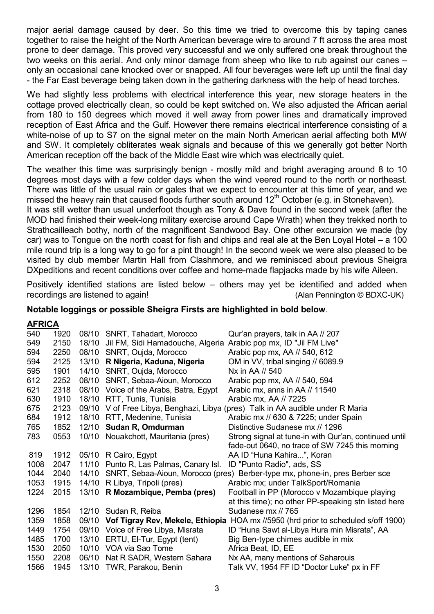major aerial damage caused by deer. So this time we tried to overcome this by taping canes together to raise the height of the North American beverage wire to around 7 ft across the area most prone to deer damage. This proved very successful and we only suffered one break throughout the two weeks on this aerial. And only minor damage from sheep who like to rub against our canes – only an occasional cane knocked over or snapped. All four beverages were left up until the final day - the Far East beverage being taken down in the gathering darkness with the help of head torches.

We had slightly less problems with electrical interference this year, new storage heaters in the cottage proved electrically clean, so could be kept switched on. We also adjusted the African aerial from 180 to 150 degrees which moved it well away from power lines and dramatically improved reception of East Africa and the Gulf. However there remains electrical interference consisting of a white-noise of up to S7 on the signal meter on the main North American aerial affecting both MW and SW. It completely obliterates weak signals and because of this we generally got better North American reception off the back of the Middle East wire which was electrically quiet.

The weather this time was surprisingly benign - mostly mild and bright averaging around 8 to 10 degrees most days with a few colder days when the wind veered round to the north or northeast. There was little of the usual rain or gales that we expect to encounter at this time of year, and we missed the heavy rain that caused floods further south around  $12<sup>th</sup>$  October (e.g. in Stonehaven).

It was still wetter than usual underfoot though as Tony & Dave found in the second week (after the MOD had finished their week-long military exercise around Cape Wrath) when they trekked north to Strathcailleach bothy, north of the magnificent Sandwood Bay. One other excursion we made (by car) was to Tongue on the north coast for fish and chips and real ale at the Ben Loyal Hotel – a 100 mile round trip is a long way to go for a pint though! In the second week we were also pleased to be visited by club member Martin Hall from Clashmore, and we reminisced about previous Sheigra DXpeditions and recent conditions over coffee and home-made flapjacks made by his wife Aileen.

Positively identified stations are listed below – others may yet be identified and added when recordings are listened to again! (Alan Pennington © BDXC-UK)

### **Notable loggings or possible Sheigra Firsts are highlighted in bold below**.

### **AFRICA**

| 540  | 1920 |       | 08/10 SNRT, Tahadart, Morocco          | Qur'an prayers, talk in AA // 207                                                        |
|------|------|-------|----------------------------------------|------------------------------------------------------------------------------------------|
| 549  | 2150 |       | 18/10 Jil FM, Sidi Hamadouche, Algeria | Arabic pop mx, ID "Jil FM Live"                                                          |
| 594  | 2250 |       | 08/10 SNRT, Oujda, Morocco             | Arabic pop mx, AA // 540, 612                                                            |
| 594  | 2125 |       | 13/10 R Nigeria, Kaduna, Nigeria       | OM in VV, tribal singing // 6089.9                                                       |
| 595  | 1901 |       | 14/10 SNRT, Oujda, Morocco             | Nx in AA // 540                                                                          |
| 612  | 2252 |       | 08/10 SNRT, Sebaa-Aioun, Morocco       | Arabic pop mx, AA // 540, 594                                                            |
| 621  | 2318 |       | 08/10 Voice of the Arabs, Batra, Egypt | Arabic mx, anns in AA // 11540                                                           |
| 630  | 1910 |       | 18/10 RTT, Tunis, Tunisia              | Arabic mx, AA // 7225                                                                    |
| 675  | 2123 |       |                                        | 09/10 V of Free Libya, Benghazi, Libya (pres) Talk in AA audible under R Maria           |
| 684  | 1912 |       | 18/10 RTT, Medenine, Tunisia           | Arabic mx // 630 & 7225; under Spain                                                     |
| 765  | 1852 |       | 12/10 Sudan R, Omdurman                | Distinctive Sudanese mx // 1296                                                          |
| 783  | 0553 |       | 10/10 Nouakchott, Mauritania (pres)    | Strong signal at tune-in with Qur'an, continued until                                    |
|      |      |       |                                        | fade-out 0640, no trace of SW 7245 this morning                                          |
| 819  | 1912 |       | 05/10 R Cairo, Egypt                   | AA ID "Huna Kahira", Koran                                                               |
| 1008 | 2047 |       | 11/10 Punto R, Las Palmas, Canary Isl. | ID "Punto Radio", ads, SS                                                                |
| 1044 | 2040 | 14/10 |                                        | SNRT, Sebaa-Aioun, Morocco (pres) Berber-type mx, phone-in, pres Berber sce              |
| 1053 | 1915 |       | 14/10 R Libya, Tripoli (pres)          | Arabic mx; under TalkSport/Romania                                                       |
| 1224 | 2015 |       | 13/10 R Mozambique, Pemba (pres)       | Football in PP (Morocco v Mozambique playing                                             |
|      |      |       |                                        | at this time); no other PP-speaking stn listed here                                      |
| 1296 | 1854 |       | 12/10 Sudan R, Reiba                   | Sudanese mx // 765                                                                       |
| 1359 | 1858 |       |                                        | 09/10 Vof Tigray Rev, Mekele, Ethiopia HOA mx //5950 (hrd prior to scheduled s/off 1900) |
| 1449 | 1754 |       | 09/10 Voice of Free Libya, Misrata     | ID "Huna Sawt al-Libya Hura min Misrata", AA                                             |
| 1485 | 1700 | 13/10 | ERTU, El-Tur, Egypt (tent)             | Big Ben-type chimes audible in mix                                                       |
| 1530 | 2050 |       | 10/10 VOA via Sao Tome                 | Africa Beat, ID, EE                                                                      |
| 1550 | 2208 |       | 06/10 Nat R SADR, Western Sahara       | Nx AA, many mentions of Saharouis                                                        |
| 1566 | 1945 | 13/10 | TWR, Parakou, Benin                    | Talk VV, 1954 FF ID "Doctor Luke" px in FF                                               |
|      |      |       |                                        |                                                                                          |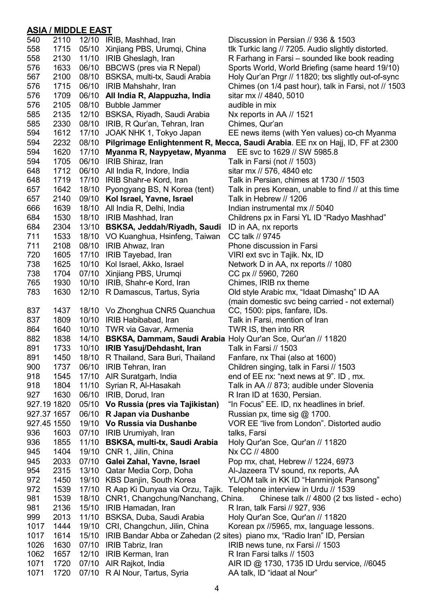## **ASIA / MIDDLE EAST**

| 540         | 2110 |       | 12/10 IRIB, Mashhad, Iran                                    | Discussion in Persian // 936 & 1503                                            |
|-------------|------|-------|--------------------------------------------------------------|--------------------------------------------------------------------------------|
| 558         | 1715 | 05/10 | Xinjiang PBS, Urumqi, China                                  | tlk Turkic lang // 7205. Audio slightly distorted.                             |
| 558         | 2130 | 11/10 | IRIB Gheslagh, Iran                                          | R Farhang in Farsi – sounded like book reading                                 |
| 576         | 1633 | 06/10 | BBCWS (pres via R Nepal)                                     | Sports World, World Briefing (same heard 19/10)                                |
| 567         | 2100 |       | 08/10 BSKSA, multi-tx, Saudi Arabia                          | Holy Qur'an Prgr // 11820; txs slightly out-of-sync                            |
| 576         | 1715 |       | 06/10 IRIB Mahshahr, Iran                                    | Chimes (on 1/4 past hour), talk in Farsi, not // 1503                          |
| 576         | 1709 |       | 06/10 All India R, Alappuzha, India                          | sitar mx // 4840, 5010                                                         |
| 576         | 2105 | 08/10 | <b>Bubble Jammer</b>                                         | audible in mix                                                                 |
| 585         | 2135 | 12/10 | BSKSA, Riyadh, Saudi Arabia                                  | Nx reports in AA // 1521                                                       |
| 585         | 2330 | 08/10 | IRIB, R Qur'an, Tehran, Iran                                 | Chimes, Qur'an                                                                 |
| 594         | 1612 | 17/10 | JOAK NHK 1, Tokyo Japan                                      | EE news items (with Yen values) co-ch Myanma                                   |
| 594         | 2232 | 08/10 |                                                              | Pilgrimage Enlightenment R, Mecca, Saudi Arabia. EE nx on Hajj, ID, FF at 2300 |
| 594         | 1620 | 17/10 | Myanma R, Naypyetaw, Myanma                                  | EE svc to 1629 // SW 5985.8                                                    |
| 594         | 1705 |       | 06/10 IRIB Shiraz, Iran                                      | Talk in Farsi (not // 1503)                                                    |
| 648         | 1712 |       | 06/10 All India R, Indore, India                             | sitar mx // 576, 4840 etc                                                      |
| 648         | 1719 | 17/10 | IRIB Shahr-e Kord, Iran                                      | Talk in Persian, chimes at 1730 // 1503                                        |
| 657         | 1642 | 18/10 | Pyongyang BS, N Korea (tent)                                 | Talk in pres Korean, unable to find // at this time                            |
| 657         | 2140 | 09/10 | Kol Israel, Yavne, Israel                                    | Talk in Hebrew // 1206                                                         |
| 666         | 1639 |       | 18/10 All India R, Delhi, India                              | Indian instrumental mx // 5040                                                 |
| 684         | 1530 |       | 18/10 IRIB Mashhad, Iran                                     | Childrens px in Farsi YL ID "Radyo Mashhad"                                    |
| 684         | 2304 |       | 13/10 BSKSA, Jeddah/Riyadh, Saudi                            | ID in AA, nx reports                                                           |
| 711         | 1533 |       | 18/10 VO Kuanghua, Hsinfeng, Taiwan                          | CC talk // 9745                                                                |
| 711         | 2108 | 08/10 | IRIB Ahwaz, Iran                                             | Phone discussion in Farsi                                                      |
| 720         | 1605 | 17/10 | IRIB Tayebad, Iran                                           | VIRI ext svc in Tajik. Nx, ID                                                  |
| 738         | 1625 | 10/10 | Kol Israel, Akko, Israel                                     | Network D in AA, nx reports // 1080                                            |
| 738         | 1704 | 07/10 | Xinjiang PBS, Urumqi                                         | CC px // 5960, 7260                                                            |
| 765         | 1930 |       | 10/10 IRIB, Shahr-e Kord, Iran                               | Chimes, IRIB nx theme                                                          |
| 783         | 1630 |       | 12/10 R Damascus, Tartus, Syria                              | Old style Arabic mx, "Idaat Dimashq" ID AA                                     |
|             |      |       |                                                              | (main domestic svc being carried - not external)                               |
| 837         | 1437 |       | 18/10 Vo Zhonghua CNR5 Quanchua                              | CC, 1500: pips, fanfare, IDs.                                                  |
| 837         | 1809 | 10/10 | IRIB Habibabad, Iran                                         | Talk in Farsi, mention of Iran                                                 |
| 864         | 1640 | 10/10 | TWR via Gavar, Armenia                                       | TWR IS, then into RR                                                           |
| 882         | 1838 | 14/10 | BSKSA, Dammam, Saudi Arabia Holy Qur'an Sce, Qur'an // 11820 |                                                                                |
| 891         | 1733 |       | 10/10 IRIB Yasuj/Dehdasht, Iran                              | Talk in Farsi // 1503                                                          |
| 891         | 1450 | 18/10 | R Thailand, Sara Buri, Thailand                              | Fanfare, nx Thai (also at 1600)                                                |
| 900         | 1737 |       | 06/10 IRIB Tehran, Iran                                      | Children singing, talk in Farsi // 1503                                        |
| 918         | 1545 |       | 17/10 AIR Suratgarh, India                                   | end of EE nx: "next news at 9". ID, mx.                                        |
| 918         | 1804 | 11/10 | Syrian R, Al-Hasakah                                         | Talk in AA // 873; audible under Slovenia                                      |
| 927         | 1630 | 06/10 | IRIB, Dorud, Iran                                            | R Iran ID at 1630, Persian.                                                    |
| 927.19 1820 |      |       | 05/10 Vo Russia (pres via Tajikistan)                        | "In Focus" EE. ID, nx headlines in brief.                                      |
| 927.37 1657 |      |       | 06/10 R Japan via Dushanbe                                   | Russian px, time sig @ 1700.                                                   |
| 927.45 1550 |      |       | 19/10 Vo Russia via Dushanbe                                 | VOR EE "live from London". Distorted audio                                     |
| 936         | 1603 |       | 07/10 IRIB Urumiyah, Iran                                    | talks, Farsi                                                                   |
| 936         | 1855 | 11/10 | BSKSA, multi-tx, Saudi Arabia                                | Holy Qur'an Sce, Qur'an // 11820                                               |
| 945         | 1404 | 19/10 | CNR 1, Jilin, China                                          | Nx CC // 4800                                                                  |
| 945         | 2033 | 07/10 | Galei Zahal, Yavne, Israel                                   | Pop mx, chat, Hebrew // 1224, 6973                                             |
| 954         | 2315 |       | 13/10 Qatar Media Corp, Doha                                 | Al-Jazeera TV sound, nx reports, AA                                            |
| 972         | 1450 |       | 19/10 KBS Danjin, South Korea                                | YL/OM talk in KK ID "Hanminjok Pansong"                                        |
| 972         | 1539 |       |                                                              | 17/10 R Aap Ki Dunyaa via Orzu, Tajik. Telephone interview in Urdu // 1539     |
| 981         | 1539 |       | 18/10 CNR1, Changchung/Nanchang, China.                      | Chinese talk // 4800 (2 txs listed - echo)                                     |
| 981         | 2136 | 15/10 | IRIB Hamadan, Iran                                           | R Iran, talk Farsi // 927, 936                                                 |
| 999         | 2013 | 11/10 | BSKSA, Duba, Saudi Arabia                                    | Holy Qur'an Sce, Qur'an // 11820                                               |
| 1017        | 1444 | 19/10 | CRI, Changchun, Jilin, China                                 | Korean px //5965, mx, language lessons.                                        |
| 1017        | 1614 |       |                                                              | 15/10 IRIB Bandar Abba or Zahedan (2 sites) piano mx, "Radio Iran" ID, Persian |
| 1026        | 1630 |       | 07/10 IRIB Tabriz, Iran                                      | IRIB news tune, nx Farsi // 1503                                               |
| 1062        | 1657 |       | 12/10 IRIB Kerman, Iran                                      | R Iran Farsi talks // 1503                                                     |
| 1071        | 1720 |       | 07/10 AIR Rajkot, India                                      | AIR ID @ 1730, 1735 ID Urdu service, //6045                                    |
| 1071        | 1720 | 07/10 | R Al Nour, Tartus, Syria                                     | AA talk, ID "idaat al Nour"                                                    |
|             |      |       |                                                              |                                                                                |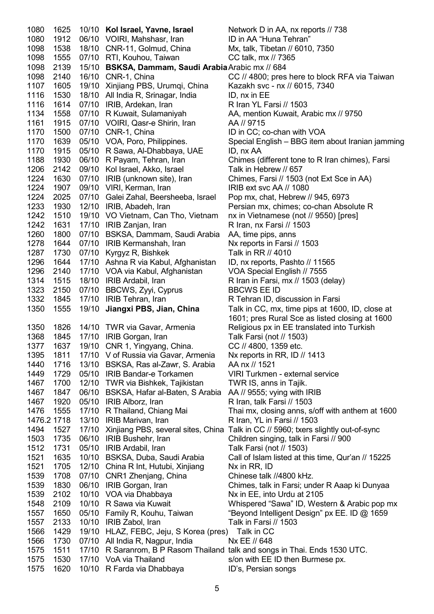1080 1625 10/10 **Kol Israel, Yavne, Israel** Network D in AA, nx reports // 738 1080 1912 06/10 VOIRI, Mahshasr, Iran ID in AA "Huna Tehran" 1098 1538 18/10 CNR-11, Golmud, China Mx, talk, Tibetan // 6010, 7350 1098 1555 07/10 RTI, Kouhou, Taiwan CC talk, mx // 7365 1098 2139 15/10 **BSKSA, Dammam, Saudi Arabia** Arabic mx // 684 1098 2140 16/10 CNR-1, China CC // 4800; pres here to block RFA via Taiwan 1107 1605 19/10 Xinjiang PBS, Urumqi, China Kazakh svc - nx // 6015, 7340 1116 1530 18/10 All India R, Srinagar, India ID, nx in EE 1116 1614 07/10 IRIB, Ardekan, Iran **Ramada Ramada Rikia 1614 1603**<br>1134 1558 07/10 R Kuwait, Sulamaniyah **AA, mention Kuwait, Ar** 1134 1558 07/10 R Kuwait, Sulamaniyah AA, mention Kuwait, Arabic mx // 9750 1161 1915 07/10 VOIRI, Qasr-e Shirin, Iran AA // 9715 1170 1500 07/10 CNR-1, China ID in CC; co-chan with VOA 1170 1639 05/10 VOA, Poro, Philippines. Special English – BBG item about Iranian jamming 1170 1915 05/10 R Sawa, Al-Dhabbaya, UAE ID, nx AA 1188 1930 06/10 R Payam, Tehran, Iran Chimes (different tone to R Iran chimes), Farsi 1206 2142 09/10 Kol Israel, Akko, Israel Talk in Hebrew // 657 1224 1630 07/10 IRIB (unknown site), Iran Chimes, Farsi // 1503 (not Ext Sce in AA) 1224 1907 09/10 VIRI, Kerman, Iran IRIB ext svc AA // 1080 1224 2025 07/10 Galei Zahal, Beersheeba, Israel Pop mx, chat, Hebrew // 945, 6973 1233 1930 12/10 IRIB, Abadeh, Iran Persian mx, chimes; co-chan Absolute R 1242 1510 19/10 VO Vietnam, Can Tho, Vietnam nx in Vietnamese (not // 9550) [pres] 1242 1631 17/10 IRIB Zanjan, Iran Rinan, nx Farsi // 1503 1260 1800 07/10 BSKSA, Dammam, Saudi Arabia AA, time pips, anns 1278 1644 07/10 IRIB Kermanshah, Iran Nx reports in Farsi // 1503 1287 1730 07/10 Kyrgyz R, Bishkek Talk in RR // 4010 1296 1644 17/10 Ashna R via Kabul, Afghanistan ID, nx reports, Pashto // 11565 1296 2140 17/10 VOA via Kabul, Afghanistan VOA Special English // 7555 1314 1515 18/10 IRIB Ardabil, Iran Rarsi, mx // 1503 (delay) 1323 2150 07/10 BBCWS, Zyyi, Cyprus BBCWS EE ID 1332 1845 17/10 IRIB Tehran, Iran R Tehran ID, discussion in Farsi 1350 1555 19/10 **Jiangxi PBS, Jian, China** Talk in CC, mx, time pips at 1600, ID, close at 1601; pres Rural Sce as listed closing at 1600 1350 1826 14/10 TWR via Gavar, Armenia Religious px in EE translated into Turkish 1368 1845 17/10 IRIB Gorgan, Iran Talk Farsi (not // 1503) 1377 1637 19/10 CNR 1, Yingyang, China. CC // 4800, 1359 etc. 1395 1811 17/10 V of Russia via Gavar, Armenia Nx reports in RR, ID // 1413 1440 1716 13/10 BSKSA, Ras al-Zawr, S. Arabia AA nx // 1521 1449 1729 05/10 IRIB Bandar-e Torkamen VIRI Turkmen - external service 1467 1700 12/10 TWR via Bishkek, Tajikistan TWR IS, anns in Tajik. 1467 1847 06/10 BSKSA, Hafar al-Baten, S Arabia AA // 9555; vying with IRIB 1467 1920 05/10 IRIB Alborz, Iran R Iran, talk Farsi // 1503 1476 1555 17/10 R Thailand, Chiang Mai Thai mx, closing anns, s/off with anthem at 1600 1476.2 1718 13/10 IRIB Marivan, Iran R Iran, YL in Farsi // 1503 1494 1527 17/10 Xinjiang PBS, several sites, China Talk in CC // 5960; txers slightly out-of-sync 1503 1735 06/10 IRIB Bushehr, Iran Children singing, talk in Farsi // 900 1512 1731 05/10 IRIB Ardabil, Iran Talk Farsi (not // 1503) 1521 1635 10/10 BSKSA, Duba, Saudi Arabia Call of Islam listed at this time, Qur'an // 15225 1521 1705 12/10 China R Int, Hutubi, Xinjiang Nx in RR, ID 1539 1708 07/10 CNR1 Zhenjang, China Chinese talk //4800 kHz. 1539 1830 06/10 IRIB Gorgan, Iran Chimes, talk in Farsi; under R Aaap ki Dunyaa 1539 2102 10/10 VOA via Dhabbaya Nx in EE, into Urdu at 2105 1548 2109 10/10 R Sawa via Kuwait Whispered "Sawa" ID, Western & Arabic pop mx 1557 1650 05/10 Family R, Kouhu, Taiwan "Beyond Intelligent Design" px EE. ID @ 1659 1557 2133 10/10 IRIB Zabol, Iran Talk in Farsi // 1503 1566 1429 19/10 HLAZ, FEBC, Jeju, S Korea (pres) Talk in CC 1566 1730 07/10 All India R, Nagpur, India Nx EE // 648 1575 1511 17/10 R Saranrom, B P Rasom Thailand talk and songs in Thai. Ends 1530 UTC. 1575 1530 17/10 VoA via Thailand s/on with EE ID then Burmese px. 1575 1620 10/10 R Farda via Dhabbaya ID's, Persian songs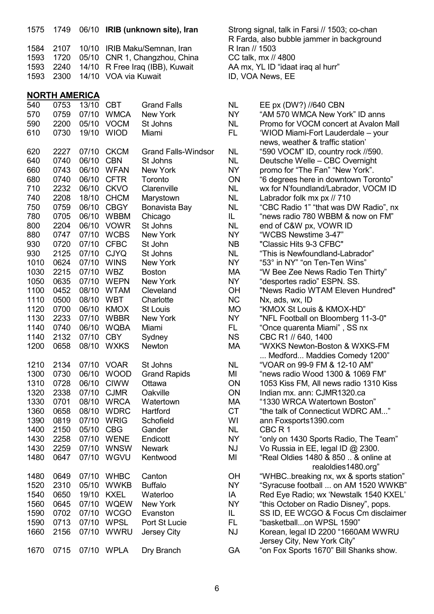| 1575 | 1749                 |       |                      | 06/10 IRIB (unknown site), Iran |                | Strong signal, talk in Farsi // 1503; co-chan<br>R Farda, also bubble jammer in background |
|------|----------------------|-------|----------------------|---------------------------------|----------------|--------------------------------------------------------------------------------------------|
| 1584 | 2107                 | 10/10 |                      | IRIB Maku/Semnan, Iran          | R Iran // 1503 |                                                                                            |
|      |                      |       |                      |                                 |                |                                                                                            |
| 1593 | 1720                 | 05/10 |                      | CNR 1, Changzhou, China         |                | CC talk, mx // 4800                                                                        |
| 1593 | 2240                 | 14/10 |                      | R Free Iraq (IBB), Kuwait       |                | AA mx, YL ID "idaat iraq al hurr"                                                          |
| 1593 | 2300                 |       | 14/10 VOA via Kuwait |                                 |                | ID, VOA News, EE                                                                           |
|      | <b>NORTH AMERICA</b> |       |                      |                                 |                |                                                                                            |
| 540  | 0753                 | 13/10 | <b>CBT</b>           | <b>Grand Falls</b>              | <b>NL</b>      | EE px (DW?) //640 CBN                                                                      |
| 570  | 0759                 | 07/10 | <b>WMCA</b>          | New York                        | <b>NY</b>      | "AM 570 WMCA New York" ID anns                                                             |
| 590  | 2200                 | 05/10 | <b>VOCM</b>          | St Johns                        | <b>NL</b>      | Promo for VOCM concert at Avalon Mall                                                      |
| 610  | 0730                 |       | 19/10 WIOD           | Miami                           | FL.            | 'WIOD Miami-Fort Lauderdale - your                                                         |
|      |                      |       |                      |                                 |                | news, weather & traffic station'                                                           |
| 620  | 2227                 | 07/10 | <b>CKCM</b>          | <b>Grand Falls-Windsor</b>      | <b>NL</b>      | "590 VOCM" ID, country rock //590.                                                         |
| 640  | 0740                 | 06/10 | <b>CBN</b>           | St Johns                        | <b>NL</b>      | Deutsche Welle - CBC Overnight                                                             |
| 660  | 0743                 | 06/10 | <b>WFAN</b>          | New York                        | NY.            | promo for "The Fan" "New York".                                                            |
| 680  | 0740                 | 06/10 | <b>CFTR</b>          | Toronto                         | ON             | "6 degrees here in downtown Toronto"                                                       |
| 710  | 2232                 | 06/10 | <b>CKVO</b>          | Clarenville                     | <b>NL</b>      | wx for N'foundland/Labrador, VOCM ID                                                       |
| 740  | 2208                 | 18/10 | <b>CHCM</b>          | Marystown                       | <b>NL</b>      | Labrador folk mx px // 710                                                                 |
| 750  | 0759                 | 06/10 | <b>CBGY</b>          | Bonavista Bay                   | <b>NL</b>      | "CBC Radio 1" "that was DW Radio", nx                                                      |
| 780  | 0705                 | 06/10 | <b>WBBM</b>          | Chicago                         | IL.            | "news radio 780 WBBM & now on FM"                                                          |
| 800  | 2204                 | 06/10 | <b>VOWR</b>          | St Johns                        | <b>NL</b>      | end of C&W px, VOWR ID                                                                     |
| 880  | 0747                 | 07/10 | <b>WCBS</b>          | New York                        | <b>NY</b>      | "WCBS Newstime 3-47"                                                                       |
| 930  | 0720                 | 07/10 | <b>CFBC</b>          | St John                         | <b>NB</b>      | "Classic Hits 9-3 CFBC"                                                                    |
| 930  | 2125                 | 07/10 | <b>CJYQ</b>          | St Johns                        | <b>NL</b>      | "This is Newfoundland-Labrador"                                                            |
| 1010 | 0624                 | 07/10 | <b>WINS</b>          | New York                        | <b>NY</b>      | "53° in NY" "on Ten-Ten Wins"                                                              |
| 1030 | 2215                 | 07/10 | <b>WBZ</b>           | <b>Boston</b>                   | MA             | "W Bee Zee News Radio Ten Thirty"                                                          |
| 1050 | 0635                 | 07/10 | <b>WEPN</b>          | New York                        | NY             | "desportes radio" ESPN. SS.                                                                |
| 1100 | 0452                 | 08/10 | <b>WTAM</b>          | Cleveland                       | <b>OH</b>      | "News Radio WTAM Eleven Hundred"                                                           |
| 1110 | 0500                 | 08/10 | <b>WBT</b>           | Charlotte                       | <b>NC</b>      | Nx, ads, wx, ID                                                                            |
| 1120 | 0700                 | 06/10 | <b>KMOX</b>          | <b>St Louis</b>                 | <b>MO</b>      | "KMOX St Louis & KMOX-HD"                                                                  |
| 1130 | 2233                 | 07/10 | <b>WBBR</b>          | New York                        | <b>NY</b>      | "NFL Football on Bloomberg 11-3-0"                                                         |
| 1140 | 0740                 | 06/10 | <b>WQBA</b>          | Miami                           | FL.            | "Once quarenta Miami", SS nx                                                               |
| 1140 | 2132                 | 07/10 | <b>CBY</b>           | Sydney                          | <b>NS</b>      | CBC R1 // 640, 1400                                                                        |
| 1200 | 0658                 | 08/10 | <b>WXKS</b>          | <b>Newton</b>                   | MA             | "WXKS Newton-Boston & WXKS-FM                                                              |
|      |                      |       |                      |                                 |                | Medford Maddies Comedy 1200"                                                               |
| 1210 | 2134                 |       | 07/10 VOAR           | St Johns                        | <b>NL</b>      | "VOAR on 99-9 FM & 12-10 AM"                                                               |
| 1300 | 0730                 | 06/10 | <b>WOOD</b>          | <b>Grand Rapids</b>             | MI             | "news radio Wood 1300 & 1069 FM"                                                           |
| 1310 | 0728                 | 06/10 | <b>CIWW</b>          | Ottawa                          | ON             | 1053 Kiss FM, All news radio 1310 Kiss                                                     |
| 1320 | 2338                 | 07/10 | <b>CJMR</b>          | Oakville                        | ON             | Indian mx. ann: CJMR1320.ca                                                                |
| 1330 | 0701                 | 08/10 | <b>WRCA</b>          | Watertown                       | МA             | "1330 WRCA Watertown Boston"                                                               |
| 1360 | 0658                 | 08/10 | <b>WDRC</b>          | Hartford                        | <b>CT</b>      | "the talk of Connecticut WDRC AM"                                                          |
| 1390 | 0819                 | 07/10 | <b>WRIG</b>          | Schofield                       | WI             | ann Foxsports1390.com                                                                      |
| 1400 | 2150                 | 05/10 | <b>CBG</b>           | Gander                          | <b>NL</b>      | CBC <sub>R1</sub>                                                                          |
| 1430 | 2258                 | 07/10 | <b>WENE</b>          | Endicott                        | <b>NY</b>      | "only on 1430 Sports Radio, The Team"                                                      |
| 1430 | 2259                 | 07/10 | <b>WNSW</b>          | <b>Newark</b>                   | <b>NJ</b>      | Vo Russia in EE, legal ID @ 2300.                                                          |
| 1480 | 0647                 | 07/10 | <b>WGVU</b>          | Kentwood                        | MI             | "Real Oldies 1480 & 850  & online at<br>realoldies1480.org"                                |
| 1480 | 0649                 | 07/10 | <b>WHBC</b>          | Canton                          | <b>OH</b>      | "WHBCbreaking nx, wx & sports station"                                                     |
| 1520 | 2310                 | 05/10 | <b>WWKB</b>          | <b>Buffalo</b>                  | NY.            | "Syracuse football  on AM 1520 WWKB"                                                       |
| 1540 | 0650                 | 19/10 | <b>KXEL</b>          | Waterloo                        | IA             | Red Eye Radio; wx 'Newstalk 1540 KXEL'                                                     |
| 1560 | 0645                 | 07/10 | <b>WQEW</b>          | New York                        | <b>NY</b>      | "this October on Radio Disney", pops.                                                      |
| 1590 | 0702                 | 07/10 | <b>WCGO</b>          | Evanston                        | IL.            | SS ID, EE WCGO & Focus Cm disclaimer                                                       |
| 1590 | 0713                 | 07/10 | <b>WPSL</b>          | Port St Lucie                   | FL             | "basketballon WPSL 1590"                                                                   |
| 1660 | 2156                 | 07/10 | <b>WWRU</b>          | Jersey City                     | <b>NJ</b>      | Korean, legal ID 2200 "1660AM WWRU                                                         |
|      |                      |       |                      |                                 |                | Jersey City, New York City"                                                                |
| 1670 | 0715                 |       | 07/10 WPLA           | Dry Branch                      | <b>GA</b>      | "on Fox Sports 1670" Bill Shanks show.                                                     |

| <b>NL</b> | EE px (DW?) //640 CBN                  |
|-----------|----------------------------------------|
| <b>NY</b> | "AM 570 WMCA New York" ID anns         |
| NL        | Promo for VOCM concert at Avalon Mall  |
| FL        | 'WIOD Miami-Fort Lauderdale - your     |
|           | news, weather & traffic station'       |
| <b>NL</b> | "590 VOCM" ID, country rock //590.     |
| <b>NL</b> | Deutsche Welle - CBC Overnight         |
| <b>NY</b> | promo for "The Fan" "New York".        |
| ON        | "6 degrees here in downtown Toronto"   |
| <b>NL</b> | wx for N'foundland/Labrador, VOCM ID   |
| <b>NL</b> | Labrador folk mx px // 710             |
| <b>NL</b> | "CBC Radio 1" "that was DW Radio", nx  |
| IL.       | "news radio 780 WBBM & now on FM"      |
| <b>NL</b> | end of C&W px, VOWR ID                 |
| NY        | "WCBS Newstime 3-47"                   |
| <b>NB</b> | "Classic Hits 9-3 CFBC"                |
| <b>NL</b> | "This is Newfoundland-Labrador"        |
| <b>NY</b> | "53° in NY" "on Ten-Ten Wins"          |
| МA        | "W Bee Zee News Radio Ten Thirty"      |
| <b>NY</b> | "desportes radio" ESPN. SS.            |
| OH        | "News Radio WTAM Eleven Hundred"       |
| <b>NC</b> | Nx, ads, wx, ID                        |
| <b>MO</b> | "KMOX St Louis & KMOX-HD"              |
| <b>NY</b> | "NFL Football on Bloomberg 11-3-0"     |
| FL.       | "Once quarenta Miami", SS nx           |
| <b>NS</b> | CBC R1 // 640, 1400                    |
| MA        | "WXKS Newton-Boston & WXKS-FM          |
|           | Medford Maddies Comedy 1200"           |
| <b>NL</b> | "VOAR on 99-9 FM & 12-10 AM"           |
| MI        | "news radio Wood 1300 & 1069 FM"       |
| ON        | 1053 Kiss FM, All news radio 1310 Kiss |
| ON        | Indian mx. ann: CJMR1320.ca            |
| MA        | "1330 WRCA Watertown Boston"           |
| <b>CT</b> | "the talk of Connecticut WDRC AM"      |
| WI        | ann Foxsports1390.com                  |
| NL        | CBC R 1                                |
| <b>NY</b> | "only on 1430 Sports Radio, The Team"  |
| <b>NJ</b> | Vo Russia in EE, legal ID @ 2300.      |
| MI        | "Real Oldies 1480 & 850  & online at   |
|           | realoldies1480.org"                    |
| ОH        | "WHBCbreaking nx, wx & sports station  |
| NY.       | "Syracuse football  on AM 1520 WWKE    |
| ΙA        | Red Eye Radio; wx 'Newstalk 1540 KXEL  |
| <b>NY</b> | "this October on Radio Disney", pops.  |
| IL        | SS ID, EE WCGO & Focus Cm disclaime    |
| <b>FL</b> | "basketballon WPSL 1590"               |
| <b>NJ</b> | Korean, legal ID 2200 "1660AM WWRU     |
|           | Jersey City, New York City"            |
| GА        | "on Fox Sports 1670" Bill Shanks show. |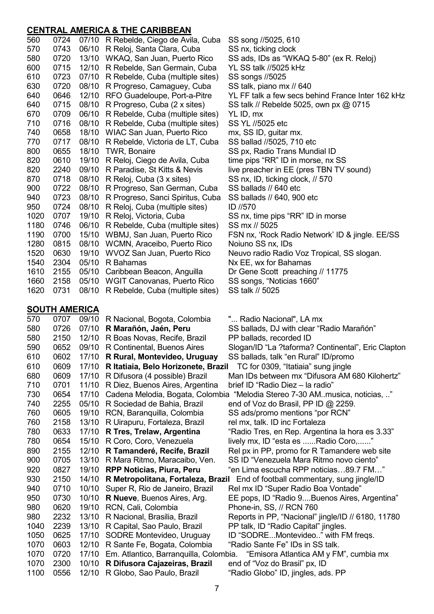## **CENTRAL AMERICA & THE CARIBBEAN**

| 560  | 0724                 |       | 07/10 R Rebelde, Ciego de Avila, Cuba  | SS song //5025, 610                                                           |
|------|----------------------|-------|----------------------------------------|-------------------------------------------------------------------------------|
| 570  | 0743                 |       | 06/10 R Reloj, Santa Clara, Cuba       | SS nx, ticking clock                                                          |
| 580  | 0720                 |       | 13/10 WKAQ, San Juan, Puerto Rico      | SS ads, IDs as "WKAQ 5-80" (ex R. Reloj)                                      |
| 600  | 0715                 |       | 12/10 R Rebelde, San Germain, Cuba     | YL SS talk //5025 kHz                                                         |
| 610  | 0723                 |       | 07/10 R Rebelde, Cuba (multiple sites) | SS songs //5025                                                               |
| 630  | 0720                 | 08/10 |                                        |                                                                               |
| 640  |                      |       | R Progreso, Camaguey, Cuba             | SS talk, piano mx // 640                                                      |
|      | 0646                 | 12/10 | RFO Guadeloupe, Port-a-Pitre           | YL FF talk a few secs behind France Inter 162 kHz                             |
| 640  | 0715                 | 08/10 | R Progreso, Cuba (2 x sites)           | SS talk // Rebelde 5025, own px @ 0715                                        |
| 670  | 0709                 | 06/10 | R Rebelde, Cuba (multiple sites)       | YL ID, mx                                                                     |
| 710  | 0716                 | 08/10 | R Rebelde, Cuba (multiple sites)       | SS YL //5025 etc                                                              |
| 740  | 0658                 |       | 18/10 WIAC San Juan, Puerto Rico       | mx, SS ID, guitar mx.                                                         |
| 770  | 0717                 |       | 08/10 R Rebelde, Victoria de LT, Cuba  | SS ballad //5025, 710 etc                                                     |
| 800  | 0655                 |       | 18/10 TWR, Bonaire                     | SS px, Radio Trans Mundial ID                                                 |
| 820  | 0610                 | 19/10 | R Reloj, Ciego de Avila, Cuba          | time pips "RR" ID in morse, nx SS                                             |
| 820  | 2240                 | 09/10 | R Paradise, St Kitts & Nevis           | live preacher in EE (pres TBN TV sound)                                       |
| 870  | 0718                 | 08/10 | R Reloj, Cuba (3 x sites)              | SS nx, ID, ticking clock, // 570                                              |
| 900  | 0722                 | 08/10 | R Progreso, San German, Cuba           | SS ballads // 640 etc                                                         |
| 940  | 0723                 | 08/10 | R Progreso, Sanci Spiritus, Cuba       | SS ballads // 640, 900 etc                                                    |
| 950  | 0724                 |       | 08/10 R Reloj, Cuba (multiple sites)   | ID //570                                                                      |
| 1020 | 0707                 |       | 19/10 R Reloj, Victoria, Cuba          | SS nx, time pips "RR" ID in morse                                             |
| 1180 | 0746                 |       | 06/10 R Rebelde, Cuba (multiple sites) | SS mx // 5025                                                                 |
| 1190 | 0700                 |       | 15/10 WBMJ, San Juan, Puerto Rico      | FSN nx, 'Rock Radio Network' ID & jingle. EE/SS                               |
| 1280 | 0815                 |       | 08/10 WCMN, Araceibo, Puerto Rico      | Noiuno SS nx, IDs                                                             |
| 1520 | 0630                 | 19/10 | WVOZ San Juan, Puerto Rico             | Neuvo radio Radio Voz Tropical, SS slogan.                                    |
| 1540 | 2304                 | 05/10 | R Bahamas                              | Nx EE, wx for Bahamas                                                         |
| 1610 | 2155                 | 05/10 | Caribbean Beacon, Anguilla             | Dr Gene Scott preaching // 11775                                              |
| 1660 | 2158                 |       | 05/10 WGIT Canovanas, Puerto Rico      | SS songs, "Noticias 1660"                                                     |
| 1620 | 0731                 |       | 08/10 R Rebelde, Cuba (multiple sites) | SS talk // 5025                                                               |
|      |                      |       |                                        |                                                                               |
|      | <b>SOUTH AMERICA</b> |       |                                        |                                                                               |
| 570  | 0707                 | 09/10 | R Nacional, Bogota, Colombia           | " Radio Nacional", LA mx                                                      |
| 580  | 0726                 | 07/10 | R Marañón, Jaén, Peru                  | SS ballads, DJ with clear "Radio Marañón"                                     |
| 580  | 2150                 |       | 12/10 R Boas Novas, Recife, Brazil     | PP ballads, recorded ID                                                       |
| 590  | 0652                 |       | 09/10 R Continental, Buenos Aires      | Slogan/ID "La ?taforma? Continental", Eric Clapton                            |
| 610  | 0602                 | 17/10 | R Rural, Montevideo, Uruguay           | SS ballads, talk "en Rural" ID/promo                                          |
| 610  | 0609                 |       |                                        | 17/10 R Itatiaia, Belo Horizonete, Brazil TC for 0309, "Itatiaia" sung jingle |
| 680  | 0609                 | 17/10 | R Difusora (4 possible) Brazil         | Man IDs between mx "Difusora AM 680 Kilohertz"                                |
| 710  | 0701                 | 11/10 | R Diez, Buenos Aires, Argentina        | brief ID "Radio Diez - la radio"                                              |
| 730  | 0654                 | 17/10 |                                        | Cadena Melodia, Bogata, Colombia "Melodia Stereo 7-30 AM. musica, noticias, " |
| 740  | 2255                 | 05/10 | R Sociedad de Bahia, Brazil            | end of Voz do Brasil, PP ID @ 2259.                                           |
| 760  | 0605                 | 19/10 | RCN, Baranquilla, Colombia             | SS ads/promo mentions "por RCN"                                               |
| 760  | 2158                 | 13/10 | R Uirapuru, Fortaleza, Brazil          | rel mx, talk. ID inc Fortaleza                                                |
| 780  | 0633                 | 17/10 | R Tres, Trelaw, Argentina              | "Radio Tres, en Rep. Argentina la hora es 3.33"                               |
| 780  | 0654                 | 15/10 | R Coro, Coro, Venezuela                | lively mx, ID "esta es Radio Coro,"                                           |
| 890  | 2155                 | 12/10 | R Tamanderé, Recife, Brazil            | Rel px in PP, promo for R Tamandere web site                                  |
| 900  | 0705                 | 13/10 | R Mara Ritmo, Maracaibo, Ven.          | SS ID "Venezuela Mara Ritmo novo ciento"                                      |
| 920  | 0827                 | 19/10 | <b>RPP Noticias, Piura, Peru</b>       | "en Lima escucha RPP noticias…89.7 FM…"                                       |
| 930  | 2150                 | 14/10 | R Metropolitana, Fortaleza, Brazil     | End of football commentary, sung jingle/ID                                    |
| 940  | 0710                 | 10/10 | Super R, Rio de Janeiro, Brazil        | Rel mx ID "Super Radio Boa Vontade"                                           |
| 950  | 0730                 | 10/10 | R Nueve, Buenos Aires, Arg.            | EE pops, ID "Radio 9Buenos Aires, Argentina"                                  |
|      |                      |       |                                        |                                                                               |

7

980 2232 13/10 R Nacional, Brasilia, Brazil Reports in PP, "Nacional" jingle/ID // 6180, 11780

1040 2239 13/10 R Capital, Sao Paulo, Brazil PP talk, ID "Radio Capital" jingles.<br>1050 0625 17/10 SODRE Montevideo, Uruguay ID "SODRE...Montevideo.." with FM fregs.

1070 0720 17/10 Em. Atlantico, Barranquilla, Colombia. "Emisora Atlantica AM y FM", cumbia mx

980 0620 19/10 RCN, Cali, Colombia Phone-in, SS, // RCN 760

1070 0603 12/10 R Sante Fe, Bogata, Colombia "Radio Sante Fe" IDs in SS talk.

1070 2300 10/10 **R Difusora Cajazeiras, Brazil** end of "Voz do Brasil" px, ID 1100 0556 12/10 R Globo, Sao Paulo, Brazil "Radio Globo" ID, jingles, ads. PP

1050 0625 17/10 SODRE Montevideo, Uruguay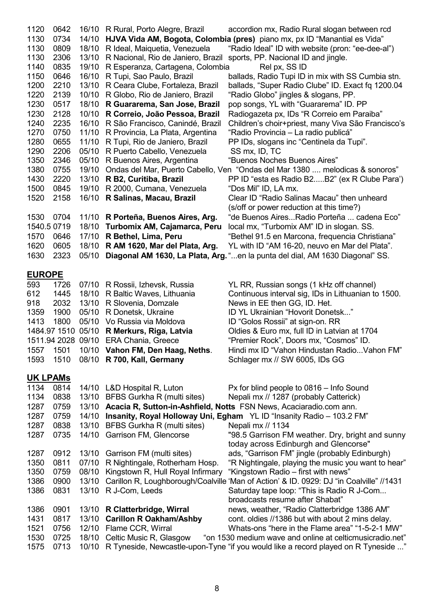| 1120<br>1130<br>1130<br>1130<br>1140<br>1150<br>1200<br>1220<br>1230<br>1230<br>1240<br>1270<br>1280<br>1290<br>1350<br>1380<br>1430<br>1500<br>1520<br>1530 | 0642<br>0734<br>0809<br>2306<br>0835<br>0646<br>2210<br>2139<br>0517<br>2128<br>2235<br>0750<br>0655<br>2206<br>2346<br>0755<br>2220<br>0845<br>2158<br>0704 | 14/10<br>18/10<br>13/10<br>19/10<br>16/10<br>13/10<br>10/10<br>18/10<br>10/10<br>16/10<br>11/10<br>11/10<br>05/10<br>05/10<br>19/10<br>13/10<br>19/10<br>16/10 | 16/10 R Rural, Porto Alegre, Brazil<br>R Ideal, Maiquetia, Venezuela<br>R Nacional, Rio de Janiero, Brazil<br>R Esperanza, Cartagena, Colombia<br>R Tupi, Sao Paulo, Brazil<br>R Ceara Clube, Fortaleza, Brazil<br>R Globo, Rio de Janiero, Brazil<br>R Guararema, San Jose, Brazil<br>R Correio, João Pessoa, Brazil<br>R São Francisco, Canindé, Brazil<br>R Provincia, La Plata, Argentina<br>R Tupi, Rio de Janiero, Brazil<br>R Puerto Cabello, Venezuela<br>R Buenos Aires, Argentina<br>R B2, Curitiba, Brazil<br>R 2000, Cumana, Venezuela<br>R Salinas, Macau, Brazil<br>11/10 R Porteña, Buenos Aires, Arg. | accordion mx, Radio Rural slogan between rcd<br>HJVA Vida AM, Bogota, Colombia (pres) piano mx, px ID "Manantial es Vida"<br>"Radio Ideal" ID with website (pron: "ee-dee-al")<br>sports, PP. Nacional ID and jingle.<br>Rel px, SS ID<br>ballads, Radio Tupi ID in mix with SS Cumbia stn.<br>ballads, "Super Radio Clube" ID. Exact fq 1200.04<br>"Radio Globo" jingles & slogans, PP.<br>pop songs, YL with "Guararema" ID. PP<br>Radiogazeta px, IDs "R Correio em Paraiba"<br>Children's choir+priest, many Viva São Francisco's<br>"Radio Provincia – La radio publicá"<br>PP IDs, slogans inc "Centinela da Tupi".<br>SS mx, ID, TC<br>"Buenos Noches Buenos Aires"<br>Ondas del Mar, Puerto Cabello, Ven "Ondas del Mar 1380  melodicas & sonoros"<br>PP ID "esta es Radio B2B2" (ex R Clube Para')<br>"Dos Mil" ID, LA mx.<br>Clear ID "Radio Salinas Macau" then unheard<br>(s/off or power reduction at this time?)<br>"de Buenos AiresRadio Porteña  cadena Eco" |
|--------------------------------------------------------------------------------------------------------------------------------------------------------------|--------------------------------------------------------------------------------------------------------------------------------------------------------------|----------------------------------------------------------------------------------------------------------------------------------------------------------------|-----------------------------------------------------------------------------------------------------------------------------------------------------------------------------------------------------------------------------------------------------------------------------------------------------------------------------------------------------------------------------------------------------------------------------------------------------------------------------------------------------------------------------------------------------------------------------------------------------------------------|------------------------------------------------------------------------------------------------------------------------------------------------------------------------------------------------------------------------------------------------------------------------------------------------------------------------------------------------------------------------------------------------------------------------------------------------------------------------------------------------------------------------------------------------------------------------------------------------------------------------------------------------------------------------------------------------------------------------------------------------------------------------------------------------------------------------------------------------------------------------------------------------------------------------------------------------------------------------------|
|                                                                                                                                                              | 1540.5 0719                                                                                                                                                  | 18/10                                                                                                                                                          | Turbomix AM, Cajamarca, Peru                                                                                                                                                                                                                                                                                                                                                                                                                                                                                                                                                                                          | local mx, "Turbomix AM" ID in slogan. SS.                                                                                                                                                                                                                                                                                                                                                                                                                                                                                                                                                                                                                                                                                                                                                                                                                                                                                                                                    |
| 1570                                                                                                                                                         | 0646                                                                                                                                                         | 17/10                                                                                                                                                          | R Bethel, Lima, Peru                                                                                                                                                                                                                                                                                                                                                                                                                                                                                                                                                                                                  | "Bethel 91.5 en Marcona, frequencia Christiana"                                                                                                                                                                                                                                                                                                                                                                                                                                                                                                                                                                                                                                                                                                                                                                                                                                                                                                                              |
| 1620                                                                                                                                                         | 0605                                                                                                                                                         | 18/10                                                                                                                                                          | R AM 1620, Mar del Plata, Arg.                                                                                                                                                                                                                                                                                                                                                                                                                                                                                                                                                                                        | YL with ID "AM 16-20, neuvo en Mar del Plata".                                                                                                                                                                                                                                                                                                                                                                                                                                                                                                                                                                                                                                                                                                                                                                                                                                                                                                                               |
| 1630                                                                                                                                                         | 2323                                                                                                                                                         | 05/10                                                                                                                                                          |                                                                                                                                                                                                                                                                                                                                                                                                                                                                                                                                                                                                                       | Diagonal AM 1630, La Plata, Arg. "en la punta del dial, AM 1630 Diagonal" SS.                                                                                                                                                                                                                                                                                                                                                                                                                                                                                                                                                                                                                                                                                                                                                                                                                                                                                                |
|                                                                                                                                                              |                                                                                                                                                              |                                                                                                                                                                |                                                                                                                                                                                                                                                                                                                                                                                                                                                                                                                                                                                                                       |                                                                                                                                                                                                                                                                                                                                                                                                                                                                                                                                                                                                                                                                                                                                                                                                                                                                                                                                                                              |
| <b>EUROPE</b>                                                                                                                                                |                                                                                                                                                              |                                                                                                                                                                |                                                                                                                                                                                                                                                                                                                                                                                                                                                                                                                                                                                                                       |                                                                                                                                                                                                                                                                                                                                                                                                                                                                                                                                                                                                                                                                                                                                                                                                                                                                                                                                                                              |
| 593                                                                                                                                                          | 1726                                                                                                                                                         |                                                                                                                                                                | 07/10 R Rossii, Izhevsk, Russia                                                                                                                                                                                                                                                                                                                                                                                                                                                                                                                                                                                       | YL RR, Russian songs (1 kHz off channel)                                                                                                                                                                                                                                                                                                                                                                                                                                                                                                                                                                                                                                                                                                                                                                                                                                                                                                                                     |
| 612                                                                                                                                                          | 1445                                                                                                                                                         | 18/10                                                                                                                                                          | R Baltic Waves, Lithuania                                                                                                                                                                                                                                                                                                                                                                                                                                                                                                                                                                                             | Continuous interval sig, IDs in Lithuanian to 1500.                                                                                                                                                                                                                                                                                                                                                                                                                                                                                                                                                                                                                                                                                                                                                                                                                                                                                                                          |
| 918                                                                                                                                                          | 2032                                                                                                                                                         | 13/10                                                                                                                                                          | R Slovenia, Domzale                                                                                                                                                                                                                                                                                                                                                                                                                                                                                                                                                                                                   | News in EE then GG, ID. Het.                                                                                                                                                                                                                                                                                                                                                                                                                                                                                                                                                                                                                                                                                                                                                                                                                                                                                                                                                 |
| 1359                                                                                                                                                         | 1900                                                                                                                                                         | 05/10                                                                                                                                                          | R Donetsk, Ukraine                                                                                                                                                                                                                                                                                                                                                                                                                                                                                                                                                                                                    | ID YL Ukrainian "Hovorit Donetsk"                                                                                                                                                                                                                                                                                                                                                                                                                                                                                                                                                                                                                                                                                                                                                                                                                                                                                                                                            |
| 1413                                                                                                                                                         | 1800                                                                                                                                                         | 05/10                                                                                                                                                          | Vo Russia via Moldova                                                                                                                                                                                                                                                                                                                                                                                                                                                                                                                                                                                                 | ID "Golos Rossii" at sign-on. RR                                                                                                                                                                                                                                                                                                                                                                                                                                                                                                                                                                                                                                                                                                                                                                                                                                                                                                                                             |
|                                                                                                                                                              | 1484.97 1510 05/10                                                                                                                                           |                                                                                                                                                                | R Merkurs, Riga, Latvia                                                                                                                                                                                                                                                                                                                                                                                                                                                                                                                                                                                               | Oldies & Euro mx, full ID in Latvian at 1704                                                                                                                                                                                                                                                                                                                                                                                                                                                                                                                                                                                                                                                                                                                                                                                                                                                                                                                                 |
|                                                                                                                                                              | 1511.94 2028 09/10                                                                                                                                           |                                                                                                                                                                | <b>ERA Chania, Greece</b>                                                                                                                                                                                                                                                                                                                                                                                                                                                                                                                                                                                             | "Premier Rock", Doors mx, "Cosmos" ID.                                                                                                                                                                                                                                                                                                                                                                                                                                                                                                                                                                                                                                                                                                                                                                                                                                                                                                                                       |
| 1557                                                                                                                                                         |                                                                                                                                                              |                                                                                                                                                                | 1501 10/10 Vahon FM, Den Haag, Neths.                                                                                                                                                                                                                                                                                                                                                                                                                                                                                                                                                                                 | Hindi mx ID "Vahon Hindustan Radio Vahon FM"                                                                                                                                                                                                                                                                                                                                                                                                                                                                                                                                                                                                                                                                                                                                                                                                                                                                                                                                 |
| 1593                                                                                                                                                         | 1510                                                                                                                                                         |                                                                                                                                                                | 08/10 R 700, Kall, Germany                                                                                                                                                                                                                                                                                                                                                                                                                                                                                                                                                                                            | Schlager mx // SW 6005, IDs GG                                                                                                                                                                                                                                                                                                                                                                                                                                                                                                                                                                                                                                                                                                                                                                                                                                                                                                                                               |
|                                                                                                                                                              | <b>UK LPAMS</b>                                                                                                                                              |                                                                                                                                                                |                                                                                                                                                                                                                                                                                                                                                                                                                                                                                                                                                                                                                       |                                                                                                                                                                                                                                                                                                                                                                                                                                                                                                                                                                                                                                                                                                                                                                                                                                                                                                                                                                              |
| 1134                                                                                                                                                         | 0814                                                                                                                                                         |                                                                                                                                                                | 14/10 L&D Hospital R, Luton                                                                                                                                                                                                                                                                                                                                                                                                                                                                                                                                                                                           | Px for blind people to 0816 - Info Sound                                                                                                                                                                                                                                                                                                                                                                                                                                                                                                                                                                                                                                                                                                                                                                                                                                                                                                                                     |
| 1134                                                                                                                                                         | 0838                                                                                                                                                         | 13/10                                                                                                                                                          | BFBS Gurkha R (multi sites)                                                                                                                                                                                                                                                                                                                                                                                                                                                                                                                                                                                           | Nepali mx // 1287 (probably Catterick)                                                                                                                                                                                                                                                                                                                                                                                                                                                                                                                                                                                                                                                                                                                                                                                                                                                                                                                                       |
| 1287                                                                                                                                                         | 0759                                                                                                                                                         | 13/10                                                                                                                                                          |                                                                                                                                                                                                                                                                                                                                                                                                                                                                                                                                                                                                                       | Acacia R, Sutton-in-Ashfield, Notts FSN News, Acaciaradio.com ann.                                                                                                                                                                                                                                                                                                                                                                                                                                                                                                                                                                                                                                                                                                                                                                                                                                                                                                           |
| 1287                                                                                                                                                         | 0759                                                                                                                                                         | 14/10                                                                                                                                                          |                                                                                                                                                                                                                                                                                                                                                                                                                                                                                                                                                                                                                       | Insanity, Royal Holloway Uni, Egham YL ID "Insanity Radio - 103.2 FM"                                                                                                                                                                                                                                                                                                                                                                                                                                                                                                                                                                                                                                                                                                                                                                                                                                                                                                        |
| 1287                                                                                                                                                         | 0838                                                                                                                                                         | 13/10                                                                                                                                                          | BFBS Gurkha R (multi sites)                                                                                                                                                                                                                                                                                                                                                                                                                                                                                                                                                                                           | Nepali mx // 1134                                                                                                                                                                                                                                                                                                                                                                                                                                                                                                                                                                                                                                                                                                                                                                                                                                                                                                                                                            |
| 1287                                                                                                                                                         | 0735                                                                                                                                                         | 14/10                                                                                                                                                          | Garrison FM, Glencorse                                                                                                                                                                                                                                                                                                                                                                                                                                                                                                                                                                                                | "98.5 Garrison FM weather. Dry, bright and sunny                                                                                                                                                                                                                                                                                                                                                                                                                                                                                                                                                                                                                                                                                                                                                                                                                                                                                                                             |
|                                                                                                                                                              |                                                                                                                                                              |                                                                                                                                                                |                                                                                                                                                                                                                                                                                                                                                                                                                                                                                                                                                                                                                       | today across Edinburgh and Glencorse"                                                                                                                                                                                                                                                                                                                                                                                                                                                                                                                                                                                                                                                                                                                                                                                                                                                                                                                                        |
| 1287                                                                                                                                                         | 0912                                                                                                                                                         |                                                                                                                                                                | 13/10 Garrison FM (multi sites)                                                                                                                                                                                                                                                                                                                                                                                                                                                                                                                                                                                       | ads, "Garrison FM" jingle (probably Edinburgh)                                                                                                                                                                                                                                                                                                                                                                                                                                                                                                                                                                                                                                                                                                                                                                                                                                                                                                                               |
| 1350                                                                                                                                                         | 0811                                                                                                                                                         |                                                                                                                                                                | 07/10 R Nightingale, Rotherham Hosp.                                                                                                                                                                                                                                                                                                                                                                                                                                                                                                                                                                                  | "R Nightingale, playing the music you want to hear"                                                                                                                                                                                                                                                                                                                                                                                                                                                                                                                                                                                                                                                                                                                                                                                                                                                                                                                          |
| 1350                                                                                                                                                         | 0759                                                                                                                                                         | 08/10                                                                                                                                                          | Kingstown R, Hull Royal Infirmary                                                                                                                                                                                                                                                                                                                                                                                                                                                                                                                                                                                     | "Kingstown Radio - first with news"                                                                                                                                                                                                                                                                                                                                                                                                                                                                                                                                                                                                                                                                                                                                                                                                                                                                                                                                          |
| 1386                                                                                                                                                         | 0900                                                                                                                                                         | 13/10                                                                                                                                                          |                                                                                                                                                                                                                                                                                                                                                                                                                                                                                                                                                                                                                       | Carillon R, Loughborough/Coalville 'Man of Action' & ID. 0929: DJ "in Coalville" //1431                                                                                                                                                                                                                                                                                                                                                                                                                                                                                                                                                                                                                                                                                                                                                                                                                                                                                      |
| 1386                                                                                                                                                         | 0831                                                                                                                                                         | 13/10                                                                                                                                                          | R J-Com, Leeds                                                                                                                                                                                                                                                                                                                                                                                                                                                                                                                                                                                                        | Saturday tape loop: "This is Radio R J-Com                                                                                                                                                                                                                                                                                                                                                                                                                                                                                                                                                                                                                                                                                                                                                                                                                                                                                                                                   |
|                                                                                                                                                              |                                                                                                                                                              |                                                                                                                                                                |                                                                                                                                                                                                                                                                                                                                                                                                                                                                                                                                                                                                                       | broadcasts resume after Shabat"                                                                                                                                                                                                                                                                                                                                                                                                                                                                                                                                                                                                                                                                                                                                                                                                                                                                                                                                              |
| 1386                                                                                                                                                         | 0901                                                                                                                                                         |                                                                                                                                                                | 13/10 R Clatterbridge, Wirral                                                                                                                                                                                                                                                                                                                                                                                                                                                                                                                                                                                         | news, weather, "Radio Clatterbridge 1386 AM"                                                                                                                                                                                                                                                                                                                                                                                                                                                                                                                                                                                                                                                                                                                                                                                                                                                                                                                                 |
| 1431                                                                                                                                                         | 0817                                                                                                                                                         | 13/10                                                                                                                                                          | <b>Carillon R Oakham/Ashby</b>                                                                                                                                                                                                                                                                                                                                                                                                                                                                                                                                                                                        | cont. oldies //1386 but with about 2 mins delay.                                                                                                                                                                                                                                                                                                                                                                                                                                                                                                                                                                                                                                                                                                                                                                                                                                                                                                                             |
| 1521                                                                                                                                                         | 0756                                                                                                                                                         | 12/10                                                                                                                                                          | Flame CCR, Wirral                                                                                                                                                                                                                                                                                                                                                                                                                                                                                                                                                                                                     | Whats-ons "here in the Flame area" "1-5-2-1 MW"                                                                                                                                                                                                                                                                                                                                                                                                                                                                                                                                                                                                                                                                                                                                                                                                                                                                                                                              |
| 1530                                                                                                                                                         | 0725                                                                                                                                                         | 18/10                                                                                                                                                          | Celtic Music R, Glasgow                                                                                                                                                                                                                                                                                                                                                                                                                                                                                                                                                                                               | "on 1530 medium wave and online at celticmusicradio.net"                                                                                                                                                                                                                                                                                                                                                                                                                                                                                                                                                                                                                                                                                                                                                                                                                                                                                                                     |
| 1575                                                                                                                                                         | 0713                                                                                                                                                         | 10/10                                                                                                                                                          |                                                                                                                                                                                                                                                                                                                                                                                                                                                                                                                                                                                                                       | R Tyneside, Newcastle-upon-Tyne "if you would like a record played on R Tyneside "                                                                                                                                                                                                                                                                                                                                                                                                                                                                                                                                                                                                                                                                                                                                                                                                                                                                                           |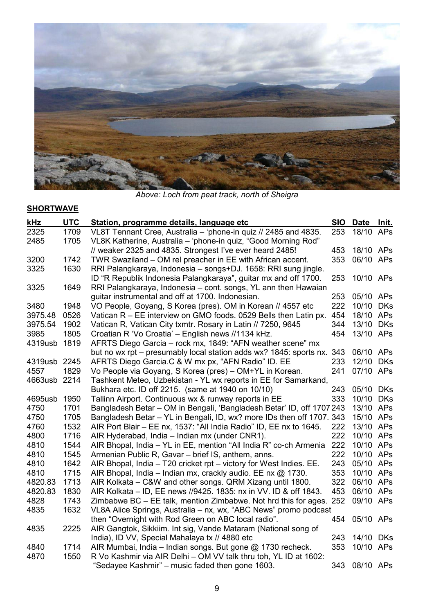

*Above: Loch from peat track, north of Sheigra*

# **SHORTWAVE**

| kHz          | <b>UTC</b> | Station, programme details, language etc                              | <b>SIO</b> | <b>Date</b> | Init.      |
|--------------|------------|-----------------------------------------------------------------------|------------|-------------|------------|
| 2325         | 1709       | VL8T Tennant Cree, Australia - 'phone-in quiz // 2485 and 4835.       | 253        | 18/10 APs   |            |
| 2485         | 1705       | VL8K Katherine, Australia - 'phone-in quiz, "Good Morning Rod"        |            |             |            |
|              |            | // weaker 2325 and 4835. Strongest I've ever heard 2485!              | 453        | 18/10 APs   |            |
| 3200         | 1742       | TWR Swaziland – OM rel preacher in EE with African accent.            | 353        | 06/10 APs   |            |
| 3325         | 1630       | RRI Palangkaraya, Indonesia – songs+DJ. 1658: RRI sung jingle.        |            |             |            |
|              |            | ID "R Republik Indonesia Palangkaraya", guitar mx and off 1700.       | 253        | 10/10 APs   |            |
| 3325         | 1649       | RRI Palangkaraya, Indonesia – cont. songs, YL ann then Hawaian        |            |             |            |
|              |            | guitar instrumental and off at 1700. Indonesian.                      | 253        | 05/10 APs   |            |
| 3480         | 1948       | VO People, Goyang, S Korea (pres). OM in Korean // 4557 etc           | 222        | 10/10       | <b>DKs</b> |
| 3975.48      | 0526       | Vatican R - EE interview on GMO foods. 0529 Bells then Latin px.      | 454        | 18/10 APs   |            |
| 3975.54      | 1902       | Vatican R, Vatican City txmtr. Rosary in Latin // 7250, 9645          | 344        | 13/10       | <b>DKs</b> |
| 3985         | 1805       | Croatian R 'Vo Croatia' - English news //1134 kHz.                    | 454        | 13/10 APs   |            |
| 4319usb      | 1819       | AFRTS Diego Garcia – rock mx, 1849: "AFN weather scene" mx            |            |             |            |
|              |            | but no wx rpt – presumably local station adds wx? 1845: sports nx.    | 343        | 06/10 APs   |            |
| 4319usb 2245 |            | AFRTS Diego Garcia.C & W mx px, "AFN Radio" ID. EE                    | 233        | 12/10       | <b>DKs</b> |
| 4557         | 1829       | Vo People via Goyang, S Korea (pres) - OM+YL in Korean.               | 241        | 07/10 APs   |            |
| 4663usb      | 2214       | Tashkent Meteo, Uzbekistan - YL wx reports in EE for Samarkand,       |            |             |            |
|              |            | Bukhara etc. ID off 2215. (same at 1940 on 10/10)                     | 243        | 05/10 DKs   |            |
| 4695usb      | 1950       | Tallinn Airport. Continuous wx & runway reports in EE                 | 333        | 10/10       | <b>DKs</b> |
| 4750         | 1701       | Bangladesh Betar - OM in Bengali, 'Bangladesh Betar' ID, off 1707 243 |            | 13/10 APs   |            |
| 4750         | 1705       | Bangladesh Betar - YL in Bengali, ID, wx? more IDs then off 1707. 343 |            | 15/10 APs   |            |
| 4760         | 1532       | AIR Port Blair - EE nx, 1537: "All India Radio" ID, EE nx to 1645.    | 222        | 13/10 APs   |            |
| 4800         | 1716       | AIR Hyderabad, India - Indian mx (under CNR1).                        | 222        | 10/10 APs   |            |
| 4810         | 1544       | AIR Bhopal, India - YL in EE, mention "All India R" co-ch Armenia     | 222        | 10/10 APs   |            |
| 4810         | 1545       | Armenian Public R, Gavar - brief IS, anthem, anns.                    | 222        | 10/10 APs   |            |
| 4810         | 1642       | AIR Bhopal, India - T20 cricket rpt - victory for West Indies. EE.    | 243        | 05/10 APs   |            |
| 4810         | 1715       | AIR Bhopal, India - Indian mx, crackly audio. EE nx @ 1730.           | 353        | 10/10 APs   |            |
| 4820.83      | 1713       | AIR Kolkata - C&W and other songs. QRM Xizang until 1800.             | 322        | 06/10 APs   |            |
| 4820.83      | 1830       | AIR Kolkata - ID, EE news //9425. 1835: nx in VV. ID & off 1843.      | 453        | 06/10 APs   |            |
| 4828         | 1743       | Zimbabwe BC - EE talk, mention Zimbabwe. Not hrd this for ages. 252   |            | 09/10 APs   |            |
| 4835         | 1632       | VL8A Alice Springs, Australia - nx, wx, "ABC News" promo podcast      |            |             |            |
|              |            | then "Overnight with Rod Green on ABC local radio".                   | 454        | 05/10 APs   |            |
| 4835         | 2225       | AIR Gangtok, Sikkiim. Int sig, Vande Mataram (National song of        |            |             |            |
|              |            | India), ID VV, Special Mahalaya tx // 4880 etc                        | 243        | 14/10       | DKs        |
| 4840         | 1714       | AIR Mumbai, India – Indian songs. But gone @ 1730 recheck.            | 353        | 10/10 APs   |            |
| 4870         | 1550       | R Vo Kashmir via AIR Delhi - OM VV talk thru toh, YL ID at 1602:      |            |             |            |
|              |            | "Sedayee Kashmir" – music faded then gone 1603.                       | 343        | 08/10 APs   |            |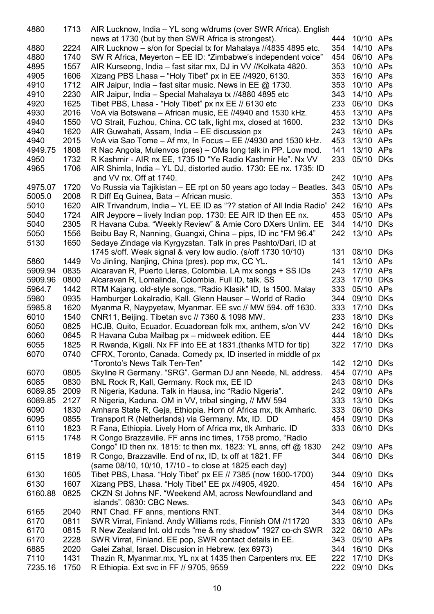| 4880    | 1713 | AIR Lucknow, India - YL song w/drums (over SWR Africa). English        |     |           |            |
|---------|------|------------------------------------------------------------------------|-----|-----------|------------|
|         |      | news at 1730 (but by then SWR Africa is strongest).                    | 444 | 10/10 APs |            |
| 4880    | 2224 | AIR Lucknow - s/on for Special tx for Mahalaya //4835 4895 etc.        | 354 | 14/10 APs |            |
| 4880    | 1740 | SW R Africa, Meyerton - EE ID: "Zimbabwe's independent voice"          | 454 | 06/10 APs |            |
| 4895    | 1557 | AIR Kurseong, India – fast sitar mx, DJ in VV //Kolkata 4820.          | 353 | 10/10 APs |            |
| 4905    | 1606 | Xizang PBS Lhasa - "Holy Tibet" px in EE //4920, 6130.                 | 353 | 16/10 APs |            |
| 4910    | 1712 | AIR Jaipur, India – fast sitar music. News in EE @ 1730.               | 353 | 10/10 APs |            |
| 4910    | 2230 | AIR Jaipur, India - Special Mahalaya tx //4880 4895 etc                | 343 | 14/10 APs |            |
| 4920    | 1625 | Tibet PBS, Lhasa - "Holy Tibet" px nx EE // 6130 etc                   | 233 | 06/10 DKs |            |
| 4930    | 2016 | VoA via Botswana – African music, EE //4940 and 1530 kHz.              | 453 | 13/10 APs |            |
|         |      |                                                                        |     |           |            |
| 4940    | 1550 | VO Strait, Fuzhou, China. CC talk, light mx, closed at 1600.           | 232 | 13/10 DKs |            |
| 4940    | 1620 | AIR Guwahati, Assam, India – EE discussion px                          | 243 | 16/10 APs |            |
| 4940    | 2015 | VoA via Sao Tome – Af mx, In Focus – EE //4930 and 1530 kHz.           | 453 | 13/10 APs |            |
| 4949.75 | 1808 | R Nac Angola, Mulenvos (pres) – OMs long talk in PP. Low mod.          | 141 | 13/10 APs |            |
| 4950    | 1732 | R Kashmir - AIR nx EE, 1735 ID "Ye Radio Kashmir He". Nx VV            | 233 | 05/10 DKs |            |
| 4965    | 1706 | AIR Shimla, India – YL DJ, distorted audio. 1730: EE nx. 1735: ID      |     |           |            |
|         |      | and VV nx. Off at 1740.                                                | 242 | 10/10 APs |            |
| 4975.07 | 1720 | Vo Russia via Tajikistan - EE rpt on 50 years ago today - Beatles. 343 |     | 05/10 APs |            |
| 5005.0  | 2008 | R Diff Eq Guinea, Bata - African music.                                | 353 | 13/10 APs |            |
| 5010    | 1620 | AIR Trivandrum, India - YL EE ID as "?? station of All India Radio"    | 242 | 16/10 APs |            |
| 5040    | 1724 | AIR Jeypore – lively Indian pop. 1730: EE AIR ID then EE nx.           | 453 | 05/10 APs |            |
| 5040    | 2305 | R Havana Cuba. "Weekly Review" & Arnie Coro DXers Unlim. EE            | 344 | 14/10 DKs |            |
| 5050    | 1556 | Beibu Bay R, Nanning, Guangxi, China – pips, ID inc "FM 96.4"          | 242 | 13/10 APs |            |
| 5130    | 1650 | Sedaye Zindage via Kyrgyzstan. Talk in pres Pashto/Dari, ID at         |     |           |            |
|         |      | 1745 s/off. Weak signal & very low audio. (s/off 1730 10/10)           | 131 | 08/10 DKs |            |
| 5860    | 1449 | Vo Jinling, Nanjing, China (pres). pop mx, CC YL.                      | 141 | 13/10 APs |            |
| 5909.94 | 0835 | Alcaravan R, Puerto Lleras, Colombia. LA mx songs + SS IDs             | 243 | 17/10 APs |            |
| 5909.96 | 0800 | Alcaravan R, Lomalinda, Colombia. Full ID, talk. SS                    | 233 | 17/10 DKs |            |
| 5964.7  | 1442 | RTM Kajang. old-style songs, "Radio Klasik" ID, ts 1500. Malay         | 333 | 05/10 APs |            |
| 5980    | 0935 | Hamburger Lokalradio, Kall. Glenn Hauser - World of Radio              | 344 | 09/10     | <b>DKs</b> |
| 5985.8  | 1620 | Myanma R, Naypyetaw, Myanmar. EE svc // MW 594. off 1630.              | 333 | 17/10     | <b>DKs</b> |
| 6010    | 1540 | CNR11, Beijing. Tibetan svc // 7360 & 1098 MW.                         | 233 | 18/10     | <b>DKs</b> |
| 6050    | 0825 | HCJB, Quito, Ecuador. Ecuadorean folk mx, anthem, s/on VV              | 242 | 16/10 DKs |            |
|         |      |                                                                        | 444 | 18/10 DKs |            |
| 6060    | 0645 | R Havana Cuba Mailbag px - midweek edition. EE                         |     |           |            |
| 6055    | 1825 | R Rwanda, Kigali. Nx FF into EE at 1831. (thanks MTD for tip)          | 322 | 17/10 DKs |            |
| 6070    | 0740 | CFRX, Toronto, Canada. Comedy px, ID inserted in middle of px          |     |           |            |
|         |      | "Toronto's News Talk Ten-Ten"                                          | 142 | 12/10 DKs |            |
| 6070    | 0805 | Skyline R Germany. "SRG". German DJ ann Neede, NL address.             | 454 | 07/10 APs |            |
| 6085    | 0830 | BNL Rock R, Kall, Germany. Rock mx, EE ID                              | 243 | 08/10     | DKs        |
| 6089.85 | 2009 | R Nigeria, Kaduna. Talk in Hausa, inc "Radio Nigeria".                 | 242 | 09/10 APs |            |
| 6089.85 | 2127 | R Nigeria, Kaduna. OM in VV, tribal singing, // MW 594                 | 333 | 13/10 DKs |            |
| 6090    | 1830 | Amhara State R, Geja, Ethiopia. Horn of Africa mx, tlk Amharic.        | 333 | 06/10 DKs |            |
| 6095    | 0855 | Transport R (Netherlands) via Germany. Mx, ID. DD                      | 454 | 09/10 DKs |            |
| 6110    | 1823 | R Fana, Ethiopia. Lively Horn of Africa mx, tlk Amharic. ID            | 333 | 06/10 DKs |            |
| 6115    | 1748 | R Congo Brazzaville. FF anns inc times, 1758 promo, "Radio             |     |           |            |
|         |      | Congo" ID then nx. 1815: to then mx. 1823: YL anns, off @ 1830         | 242 | 09/10 APs |            |
| 6115    | 1819 | R Congo, Brazzaville. End of nx, ID, tx off at 1821. FF                | 344 | 06/10 DKs |            |
|         |      | (same 08/10, 10/10, 17/10 - to close at 1825 each day)                 |     |           |            |
| 6130    | 1605 | Tibet PBS, Lhasa. "Holy Tibet" px EE // 7385 (now 1600-1700)           | 344 | 09/10 DKs |            |
| 6130    | 1607 | Xizang PBS, Lhasa. "Holy Tibet" EE px //4905, 4920.                    | 454 | 16/10 APs |            |
| 6160.88 | 0825 | CKZN St Johns NF. "Weekend AM, across Newfoundland and                 |     |           |            |
|         |      | islands". 0830: CBC News.                                              | 343 | 06/10 APs |            |
| 6165    | 2040 | RNT Chad. FF anns, mentions RNT.                                       | 344 | 08/10 DKs |            |
| 6170    | 0811 | SWR Virrat, Finland. Andy Williams rcds, Finnish OM //11720            | 333 | 06/10 APs |            |
| 6170    | 0815 | R New Zealand Int. old rcds "me & my shadow" 1927 co-ch SWR            | 322 | 06/10 APs |            |
| 6170    | 2228 | SWR Virrat, Finland. EE pop, SWR contact details in EE.                | 343 | 05/10 APs |            |
| 6885    | 2020 | Galei Zahal, Israel. Discusion in Hebrew. (ex 6973)                    | 344 | 16/10 DKs |            |
| 7110    | 1431 | Thazin R, Myanmar.mx, YL nx at 1435 then Carpenters mx. EE             | 222 | 17/10 DKs |            |
| 7235.16 | 1750 | R Ethiopia. Ext svc in FF // 9705, 9559                                | 222 | 09/10 DKs |            |
|         |      |                                                                        |     |           |            |